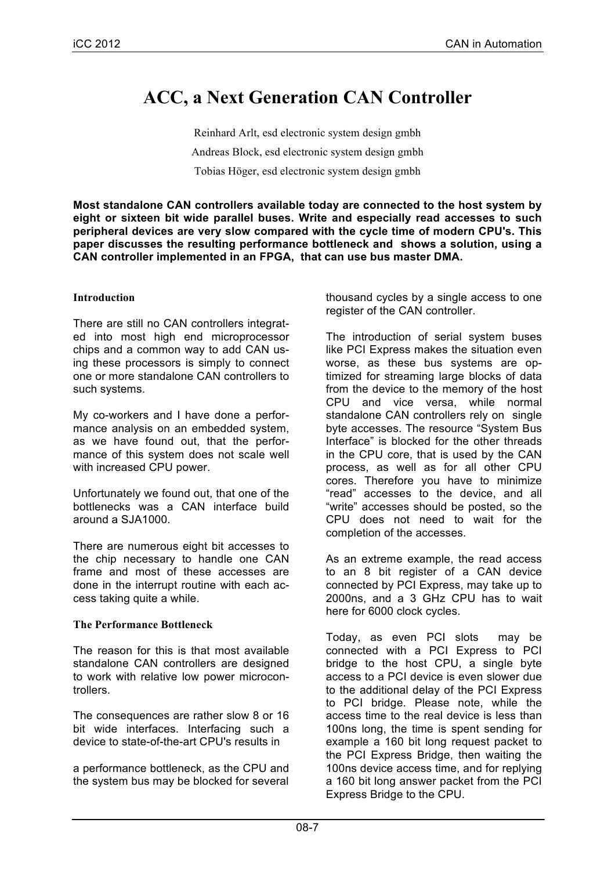# **ACC, a Next Generation CAN Controller**

Reinhard Arlt, esd electronic system design gmbh Andreas Block, esd electronic system design gmbh Tobias Höger, esd electronic system design gmbh

**Most standalone CAN controllers available today are connected to the host system by eight or sixteen bit wide parallel buses. Write and especially read accesses to such peripheral devices are very slow compared with the cycle time of modern CPU's. This paper discusses the resulting performance bottleneck and shows a solution, using a CAN controller implemented in an FPGA, that can use bus master DMA.**

## **Introduction**

There are still no CAN controllers integrated into most high end microprocessor chips and a common way to add CAN using these processors is simply to connect one or more standalone CAN controllers to such systems.

My co-workers and I have done a performance analysis on an embedded system, as we have found out, that the performance of this system does not scale well with increased CPU power.

Unfortunately we found out, that one of the bottlenecks was a CAN interface build around a SJA1000.

There are numerous eight bit accesses to the chip necessary to handle one CAN frame and most of these accesses are done in the interrupt routine with each access taking quite a while.

## **The Performance Bottleneck**

The reason for this is that most available standalone CAN controllers are designed to work with relative low power microcontrollers.

The consequences are rather slow 8 or 16 bit wide interfaces. Interfacing such a device to state-of-the-art CPU's results in

a performance bottleneck, as the CPU and the system bus may be blocked for several thousand cycles by a single access to one register of the CAN controller.

The introduction of serial system buses like PCI Express makes the situation even worse, as these bus systems are optimized for streaming large blocks of data from the device to the memory of the host CPU and vice versa, while normal standalone CAN controllers rely on single byte accesses. The resource "System Bus Interface" is blocked for the other threads in the CPU core, that is used by the CAN process, as well as for all other CPU cores. Therefore you have to minimize "read" accesses to the device, and all "write" accesses should be posted, so the CPU does not need to wait for the completion of the accesses.

As an extreme example, the read access to an 8 bit register of a CAN device connected by PCI Express, may take up to 2000ns, and a 3 GHz CPU has to wait here for 6000 clock cycles.

Today, as even PCI slots may be connected with a PCI Express to PCI bridge to the host CPU, a single byte access to a PCI device is even slower due to the additional delay of the PCI Express to PCI bridge. Please note, while the access time to the real device is less than 100ns long, the time is spent sending for example a 160 bit long request packet to the PCI Express Bridge, then waiting the 100ns device access time, and for replying a 160 bit long answer packet from the PCI Express Bridge to the CPU.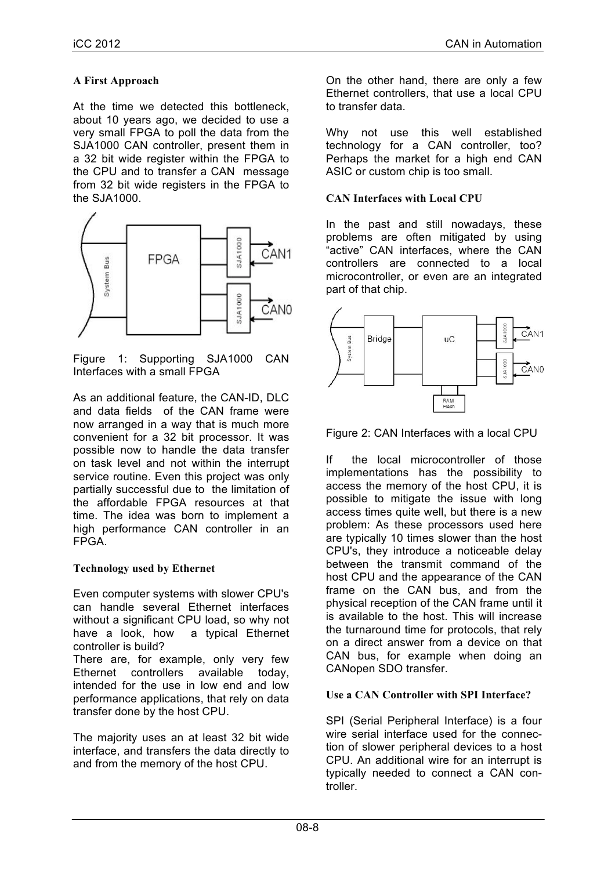## **A First Approach**

At the time we detected this bottleneck, about 10 years ago, we decided to use a very small FPGA to poll the data from the SJA1000 CAN controller, present them in a 32 bit wide register within the FPGA to the CPU and to transfer a CAN message from 32 bit wide registers in the FPGA to the SJA1000.



Figure 1: Supporting SJA1000 CAN Interfaces with a small FPGA

As an additional feature, the CAN-ID, DLC and data fields of the CAN frame were now arranged in a way that is much more convenient for a 32 bit processor. It was possible now to handle the data transfer on task level and not within the interrupt service routine. Even this project was only partially successful due to the limitation of the affordable FPGA resources at that time. The idea was born to implement a high performance CAN controller in an FPGA.

## **Technology used by Ethernet**

Even computer systems with slower CPU's can handle several Ethernet interfaces without a significant CPU load, so why not have a look, how a typical Ethernet controller is build?

There are, for example, only very few Ethernet controllers available today, intended for the use in low end and low performance applications, that rely on data transfer done by the host CPU.

The majority uses an at least 32 bit wide interface, and transfers the data directly to and from the memory of the host CPU.

On the other hand, there are only a few Ethernet controllers, that use a local CPU to transfer data.

Why not use this well established technology for a CAN controller, too? Perhaps the market for a high end CAN ASIC or custom chip is too small.

## **CAN Interfaces with Local CPU**

In the past and still nowadays, these problems are often mitigated by using "active" CAN interfaces, where the CAN controllers are connected to a local microcontroller, or even are an integrated part of that chip.



Figure 2: CAN Interfaces with a local CPU

If the local microcontroller of those implementations has the possibility to access the memory of the host CPU, it is possible to mitigate the issue with long access times quite well, but there is a new problem: As these processors used here are typically 10 times slower than the host CPU's, they introduce a noticeable delay between the transmit command of the host CPU and the appearance of the CAN frame on the CAN bus, and from the physical reception of the CAN frame until it is available to the host. This will increase the turnaround time for protocols, that rely on a direct answer from a device on that CAN bus, for example when doing an CANopen SDO transfer.

## **Use a CAN Controller with SPI Interface?**

SPI (Serial Peripheral Interface) is a four wire serial interface used for the connection of slower peripheral devices to a host CPU. An additional wire for an interrupt is typically needed to connect a CAN controller.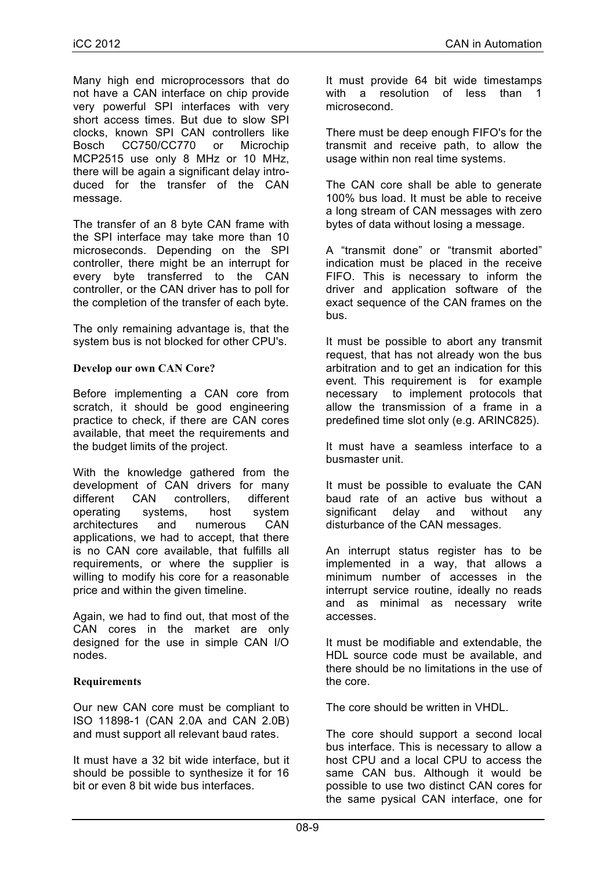Many high end microprocessors that do not have a CAN interface on chip provide very powerful SPI interfaces with very short access times. But due to slow SPI clocks, known SPI CAN controllers like Bosch CC750/CC770 or Microchip MCP2515 use only 8 MHz or 10 MHz, there will be again a significant delay introduced for the transfer of the CAN message.

The transfer of an 8 byte CAN frame with the SPI interface may take more than 10 microseconds. Depending on the SPI controller, there might be an interrupt for every byte transferred to the CAN controller, or the CAN driver has to poll for the completion of the transfer of each byte.

The only remaining advantage is, that the system bus is not blocked for other CPU's.

#### **Develop our own CAN Core?**

Before implementing a CAN core from scratch, it should be good engineering practice to check, if there are CAN cores available, that meet the requirements and the budget limits of the project.

With the knowledge gathered from the development of CAN drivers for many different CAN controllers, different operating systems, host system architectures and numerous CAN applications, we had to accept, that there is no CAN core available, that fulfills all requirements, or where the supplier is willing to modify his core for a reasonable price and within the given timeline.

Again, we had to find out, that most of the CAN cores in the market are only designed for the use in simple CAN I/O nodes.

#### **Requirements**

Our new CAN core must be compliant to ISO 11898-1 (CAN 2.0A and CAN 2.0B) and must support all relevant baud rates.

It must have a 32 bit wide interface, but it should be possible to synthesize it for 16 bit or even 8 bit wide bus interfaces.

It must provide 64 bit wide timestamps with a resolution of less than 1 microsecond.

There must be deep enough FIFO's for the transmit and receive path, to allow the usage within non real time systems.

The CAN core shall be able to generate 100% bus load. It must be able to receive a long stream of CAN messages with zero bytes of data without losing a message.

A "transmit done" or "transmit aborted" indication must be placed in the receive FIFO. This is necessary to inform the driver and application software of the exact sequence of the CAN frames on the bus.

It must be possible to abort any transmit request, that has not already won the bus arbitration and to get an indication for this event. This requirement is for example necessary to implement protocols that allow the transmission of a frame in a predefined time slot only (e.g. ARINC825).

It must have a seamless interface to a busmaster unit.

It must be possible to evaluate the CAN baud rate of an active bus without a significant delay and without any disturbance of the CAN messages.

An interrupt status register has to be implemented in a way, that allows a minimum number of accesses in the interrupt service routine, ideally no reads and as minimal as necessary write accesses.

It must be modifiable and extendable, the HDL source code must be available, and there should be no limitations in the use of the core.

The core should be written in VHDL.

The core should support a second local bus interface. This is necessary to allow a host CPU and a local CPU to access the same CAN bus. Although it would be possible to use two distinct CAN cores for the same pysical CAN interface, one for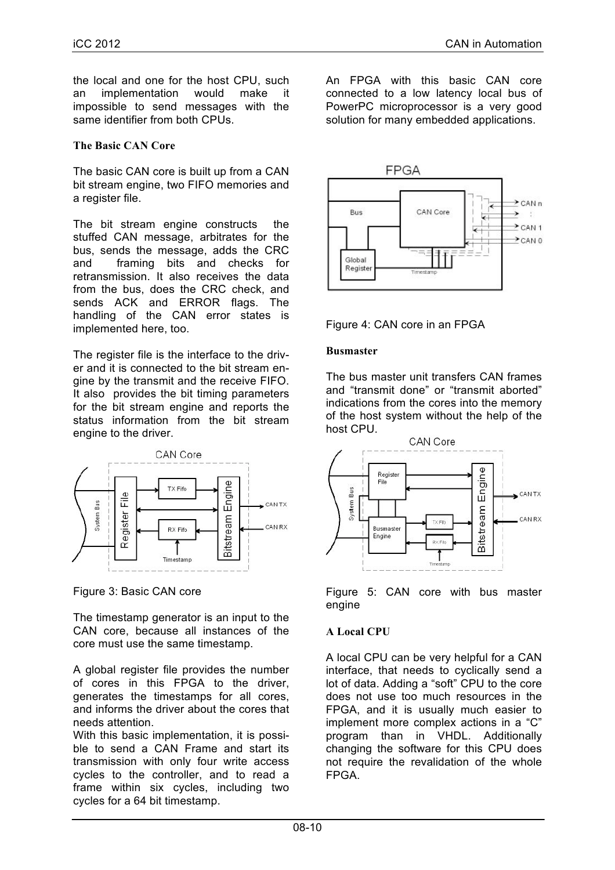the local and one for the host CPU, such an implementation would make it impossible to send messages with the same identifier from both CPUs.

#### **The Basic CAN Core**

The basic CAN core is built up from a CAN bit stream engine, two FIFO memories and a register file.

The bit stream engine constructs the stuffed CAN message, arbitrates for the bus, sends the message, adds the CRC and framing bits and checks for retransmission. It also receives the data from the bus, does the CRC check, and sends ACK and ERROR flags. The handling of the CAN error states is implemented here, too.

The register file is the interface to the driver and it is connected to the bit stream engine by the transmit and the receive FIFO. It also provides the bit timing parameters for the bit stream engine and reports the status information from the bit stream engine to the driver.



Figure 3: Basic CAN core

The timestamp generator is an input to the CAN core, because all instances of the core must use the same timestamp.

A global register file provides the number of cores in this FPGA to the driver, generates the timestamps for all cores, and informs the driver about the cores that needs attention.

With this basic implementation, it is possible to send a CAN Frame and start its transmission with only four write access cycles to the controller, and to read a frame within six cycles, including two cycles for a 64 bit timestamp.

An FPGA with this basic CAN core connected to a low latency local bus of PowerPC microprocessor is a very good solution for many embedded applications.





#### **Busmaster**

The bus master unit transfers CAN frames and "transmit done" or "transmit aborted" indications from the cores into the memory of the host system without the help of the host CPU.



Figure 5: CAN core with bus master engine

## **A Local CPU**

A local CPU can be very helpful for a CAN interface, that needs to cyclically send a lot of data. Adding a "soft" CPU to the core does not use too much resources in the FPGA, and it is usually much easier to implement more complex actions in a "C" program than in VHDL. Additionally changing the software for this CPU does not require the revalidation of the whole FPGA.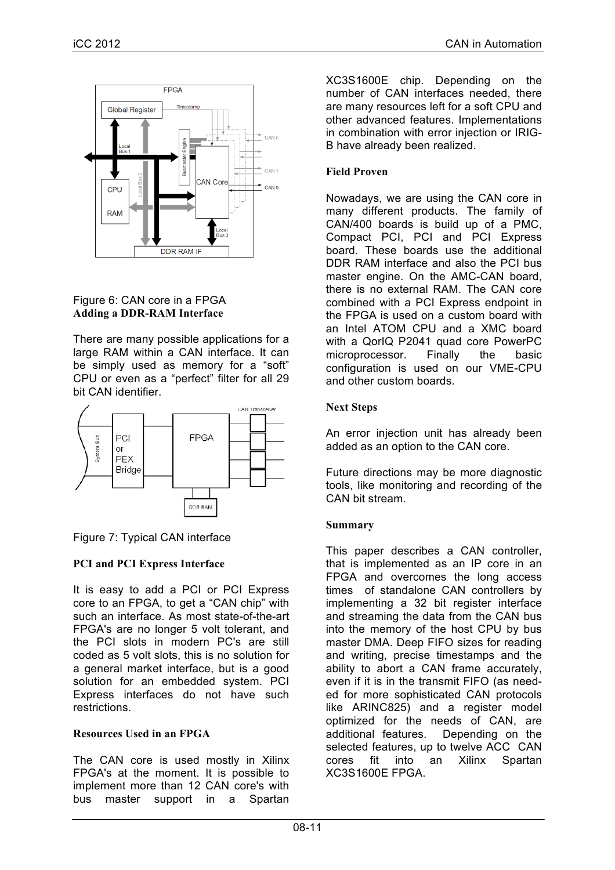

## Figure 6: CAN core in a FPGA **Adding a DDR-RAM Interface**

There are many possible applications for a large RAM within a CAN interface. It can be simply used as memory for a "soft" CPU or even as a "perfect" filter for all 29 bit CAN identifier.



## Figure 7: Typical CAN interface

## **PCI and PCI Express Interface**

It is easy to add a PCI or PCI Express core to an FPGA, to get a "CAN chip" with such an interface. As most state-of-the-art FPGA's are no longer 5 volt tolerant, and the PCI slots in modern PC's are still coded as 5 volt slots, this is no solution for a general market interface, but is a good solution for an embedded system. PCI Express interfaces do not have such restrictions.

#### **Resources Used in an FPGA**

The CAN core is used mostly in Xilinx FPGA's at the moment. It is possible to implement more than 12 CAN core's with bus master support in a Spartan

XC3S1600E chip. Depending on the number of CAN interfaces needed, there are many resources left for a soft CPU and other advanced features. Implementations in combination with error injection or IRIG-B have already been realized.

## **Field Proven**

Nowadays, we are using the CAN core in many different products. The family of CAN/400 boards is build up of a PMC, Compact PCI, PCI and PCI Express board. These boards use the additional DDR RAM interface and also the PCI bus master engine. On the AMC-CAN board, there is no external RAM. The CAN core combined with a PCI Express endpoint in the FPGA is used on a custom board with an Intel ATOM CPU and a XMC board with a QorIQ P2041 quad core PowerPC microprocessor. Finally the basic configuration is used on our VME-CPU and other custom boards.

## **Next Steps**

An error injection unit has already been added as an option to the CAN core.

Future directions may be more diagnostic tools, like monitoring and recording of the CAN bit stream.

#### **Summary**

This paper describes a CAN controller, that is implemented as an IP core in an FPGA and overcomes the long access times of standalone CAN controllers by implementing a 32 bit register interface and streaming the data from the CAN bus into the memory of the host CPU by bus master DMA. Deep FIFO sizes for reading and writing, precise timestamps and the ability to abort a CAN frame accurately, even if it is in the transmit FIFO (as needed for more sophisticated CAN protocols like ARINC825) and a register model optimized for the needs of CAN, are additional features. Depending on the selected features, up to twelve ACC CAN cores fit into an Xilinx Spartan XC3S1600E FPGA.